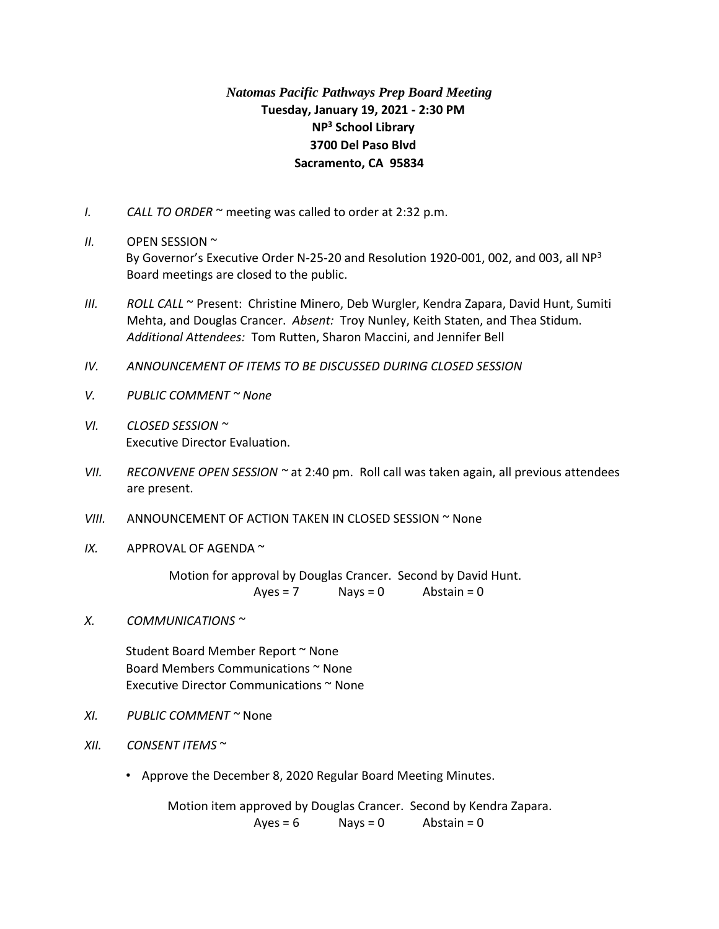## *Natomas Pacific Pathways Prep Board Meeting* **Tuesday, January 19, 2021 - 2:30 PM NP<sup>3</sup> School Library 3700 Del Paso Blvd Sacramento, CA 95834**

- *I. CALL TO ORDER* ~ meeting was called to order at 2:32 p.m.
- *II.* OPEN SESSION ~ By Governor's Executive Order N-25-20 and Resolution 1920-001, 002, and 003, all NP<sup>3</sup> Board meetings are closed to the public.
- *III. ROLL CALL* ~ Present: Christine Minero, Deb Wurgler, Kendra Zapara, David Hunt, Sumiti Mehta, and Douglas Crancer. *Absent:* Troy Nunley, Keith Staten, and Thea Stidum. *Additional Attendees:* Tom Rutten, Sharon Maccini, and Jennifer Bell
- *IV. ANNOUNCEMENT OF ITEMS TO BE DISCUSSED DURING CLOSED SESSION*
- *V. PUBLIC COMMENT ~ None*
- *VI. CLOSED SESSION ~* Executive Director Evaluation.
- *VII. RECONVENE OPEN SESSION ~* at 2:40 pm. Roll call was taken again, all previous attendees are present.
- *VIII.* ANNOUNCEMENT OF ACTION TAKEN IN CLOSED SESSION ~ None
- *IX.* APPROVAL OF AGENDA ~

Motion for approval by Douglas Crancer. Second by David Hunt.

 $Ayes = 7$  Nays = 0 Abstain = 0

*X. COMMUNICATIONS ~* 

Student Board Member Report ~ None Board Members Communications ~ None Executive Director Communications ~ None

- *XI. PUBLIC COMMENT ~* None
- *XII. CONSENT ITEMS* ~
	- Approve the December 8, 2020 Regular Board Meeting Minutes.

Motion item approved by Douglas Crancer. Second by Kendra Zapara.  $Ayes = 6$  Nays = 0 Abstain = 0